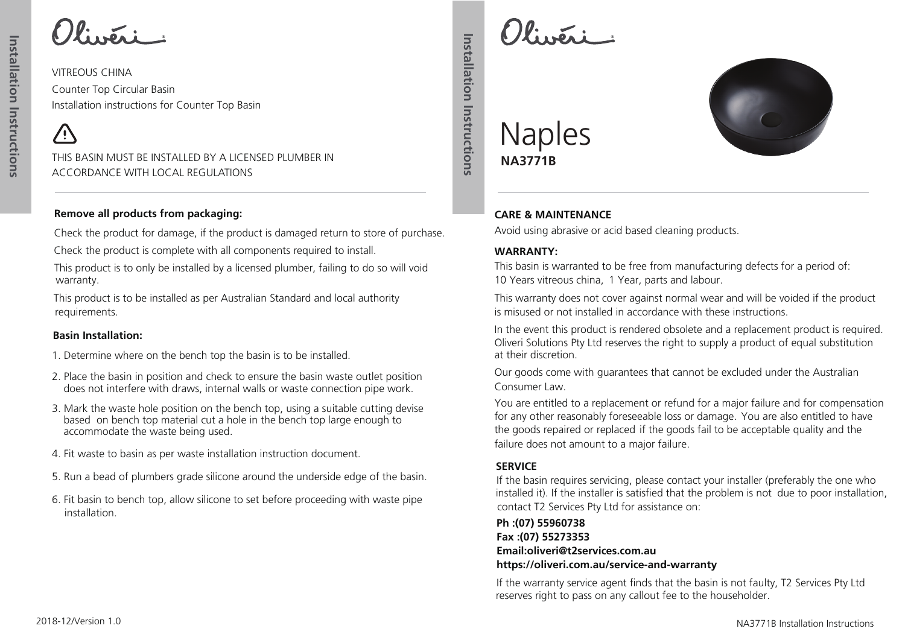VITREOUS CHINA Counter Top Circular Basin Installation instructions for Counter Top Basin

/ <u>|</u>

THIS BASIN MUST BE INSTALLED BY A LICENSED PLUMBER IN ACCORDANCE WITH LOCAL REGULATIONS

#### **Remove all products from packaging:**

Check the product for damage, if the product is damaged return to store of purchase.

Check the product is complete with all components required to install.

This product is to only be installed by a licensed plumber, failing to do so will void warranty.

This product is to be installed as per Australian Standard and local authority requirements.

#### **Basin Installation:**

- 1. Determine where on the bench top the basin is to be installed.
- 2. Place the basin in position and check to ensure the basin waste outlet position does not interfere with draws, internal walls or waste connection pipe work.
- 3. Mark the waste hole position on the bench top, using a suitable cutting devise based on bench top material cut a hole in the bench top large enough to accommodate the waste being used.
- 4. Fit waste to basin as per waste installation instruction document.
- 5. Run a bead of plumbers grade silicone around the underside edge of the basin.
- 6. Fit basin to bench top, allow silicone to set before proceeding with waste pipe installation.

 $U$ :  $\mathbb{Z}$ :  $\mathbb{Z}$ 



## Naples **NA3771B**

**Installation Instructions**

Installation Instructions

### **CARE & MAINTENANCE**

Avoid using abrasive or acid based cleaning products.

#### **WARRANTY:**

This basin is warranted to be free from manufacturing defects for a period of: 10 Years vitreous china, 1 Year, parts and labour.

This warranty does not cover against normal wear and will be voided if the product is misused or not installed in accordance with these instructions.

In the event this product is rendered obsolete and a replacement product is required. Oliveri Solutions Pty Ltd reserves the right to supply a product of equal substitution at their discretion.

Our goods come with guarantees that cannot be excluded under the Australian Consumer Law.

You are entitled to a replacement or refund for a major failure and for compensation for any other reasonably foreseeable loss or damage. You are also entitled to have the goods repaired or replaced if the goods fail to be acceptable quality and the failure does not amount to a major failure.

### **SERVICE**

If the basin requires servicing, please contact your installer (preferably the one who installed it). If the installer is satisfied that the problem is not due to poor installation, contact T2 Services Pty Ltd for assistance on:

**Ph :(07) 55960738 Fax :(07) 55273353 Email:oliveri@t2services.com.au https://oliveri.com.au/service-and-warranty**

If the warranty service agent finds that the basin is not faulty, T2 Services Pty Ltd reserves right to pass on any callout fee to the householder.